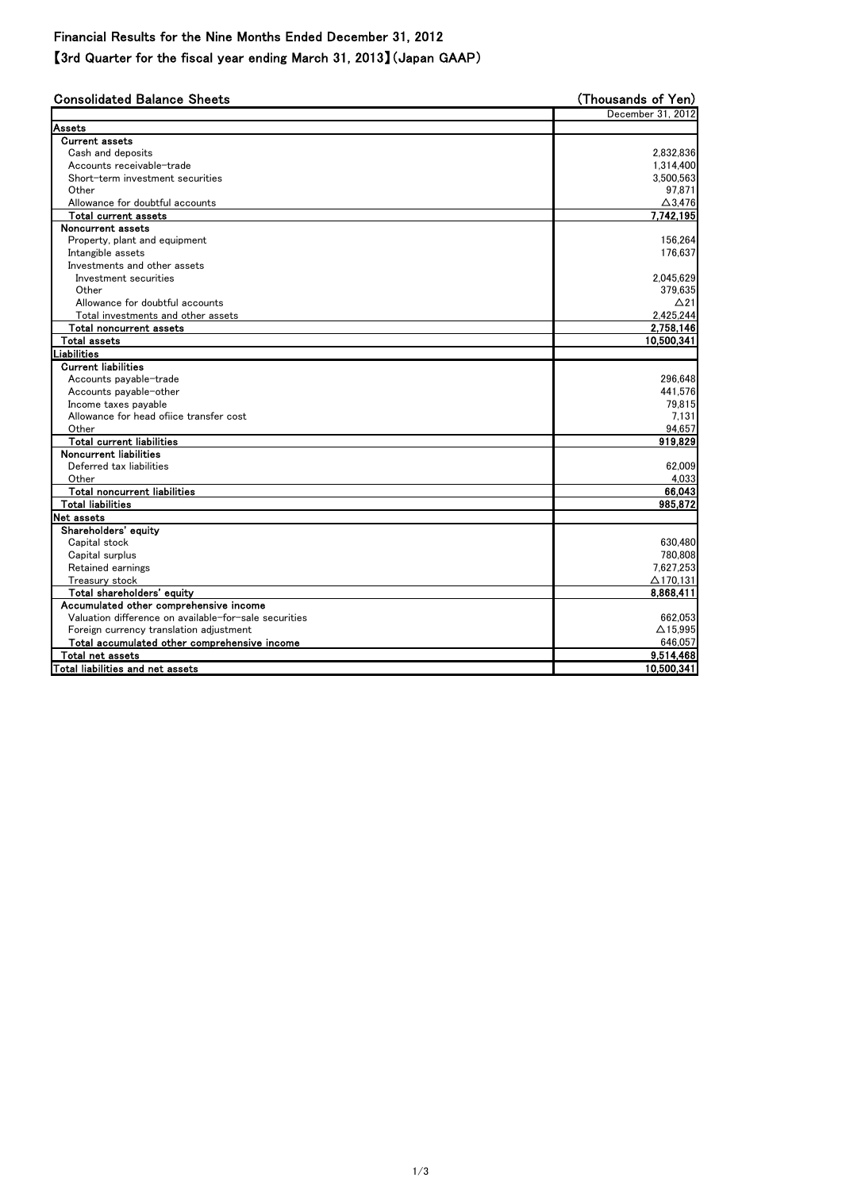## Financial Results for the Nine Months Ended December 31, 2012

【3rd Quarter for the fiscal year ending March 31, 2013】(Japan GAAP)

| Assets<br><b>Current assets</b><br>Cash and deposits<br>Accounts receivable-trade<br>Short-term investment securities<br>Other<br>Allowance for doubtful accounts<br>Total current assets<br>Noncurrent assets<br>Property, plant and equipment<br>Intangible assets<br>Investments and other assets<br>Investment securities<br>Other<br>Allowance for doubtful accounts<br>Total investments and other assets<br>Total noncurrent assets<br><b>Total assets</b><br>Liabilities<br><b>Current liabilities</b><br>Accounts payable-trade<br>Accounts payable-other<br>Income taxes payable<br>Allowance for head office transfer cost<br>Other<br><b>Total current liabilities</b><br>Noncurrent liabilities<br>Deferred tax liabilities<br>Other<br>Total noncurrent liabilities<br><b>Total liabilities</b><br>Net assets<br>Shareholders' equity<br>Capital stock<br>Capital surplus<br>Retained earnings<br>Treasury stock<br>Total shareholders' equity<br>Accumulated other comprehensive income<br>Valuation difference on available-for-sale securities<br>Foreign currency translation adjustment<br>Total accumulated other comprehensive income | <b>Consolidated Balance Sheets</b> | (Thousands of Yen) |
|------------------------------------------------------------------------------------------------------------------------------------------------------------------------------------------------------------------------------------------------------------------------------------------------------------------------------------------------------------------------------------------------------------------------------------------------------------------------------------------------------------------------------------------------------------------------------------------------------------------------------------------------------------------------------------------------------------------------------------------------------------------------------------------------------------------------------------------------------------------------------------------------------------------------------------------------------------------------------------------------------------------------------------------------------------------------------------------------------------------------------------------------------------|------------------------------------|--------------------|
|                                                                                                                                                                                                                                                                                                                                                                                                                                                                                                                                                                                                                                                                                                                                                                                                                                                                                                                                                                                                                                                                                                                                                            |                                    | December 31, 2012  |
|                                                                                                                                                                                                                                                                                                                                                                                                                                                                                                                                                                                                                                                                                                                                                                                                                                                                                                                                                                                                                                                                                                                                                            |                                    |                    |
|                                                                                                                                                                                                                                                                                                                                                                                                                                                                                                                                                                                                                                                                                                                                                                                                                                                                                                                                                                                                                                                                                                                                                            |                                    |                    |
|                                                                                                                                                                                                                                                                                                                                                                                                                                                                                                                                                                                                                                                                                                                                                                                                                                                                                                                                                                                                                                                                                                                                                            |                                    | 2,832,836          |
|                                                                                                                                                                                                                                                                                                                                                                                                                                                                                                                                                                                                                                                                                                                                                                                                                                                                                                                                                                                                                                                                                                                                                            |                                    | 1,314,400          |
|                                                                                                                                                                                                                                                                                                                                                                                                                                                                                                                                                                                                                                                                                                                                                                                                                                                                                                                                                                                                                                                                                                                                                            |                                    | 3,500,563          |
|                                                                                                                                                                                                                                                                                                                                                                                                                                                                                                                                                                                                                                                                                                                                                                                                                                                                                                                                                                                                                                                                                                                                                            |                                    | 97,871             |
|                                                                                                                                                                                                                                                                                                                                                                                                                                                                                                                                                                                                                                                                                                                                                                                                                                                                                                                                                                                                                                                                                                                                                            |                                    | $\Delta$ 3,476     |
|                                                                                                                                                                                                                                                                                                                                                                                                                                                                                                                                                                                                                                                                                                                                                                                                                                                                                                                                                                                                                                                                                                                                                            |                                    | 7,742,195          |
|                                                                                                                                                                                                                                                                                                                                                                                                                                                                                                                                                                                                                                                                                                                                                                                                                                                                                                                                                                                                                                                                                                                                                            |                                    |                    |
|                                                                                                                                                                                                                                                                                                                                                                                                                                                                                                                                                                                                                                                                                                                                                                                                                                                                                                                                                                                                                                                                                                                                                            |                                    | 156,264            |
|                                                                                                                                                                                                                                                                                                                                                                                                                                                                                                                                                                                                                                                                                                                                                                                                                                                                                                                                                                                                                                                                                                                                                            |                                    | 176,637            |
|                                                                                                                                                                                                                                                                                                                                                                                                                                                                                                                                                                                                                                                                                                                                                                                                                                                                                                                                                                                                                                                                                                                                                            |                                    |                    |
|                                                                                                                                                                                                                                                                                                                                                                                                                                                                                                                                                                                                                                                                                                                                                                                                                                                                                                                                                                                                                                                                                                                                                            |                                    | 2,045,629          |
|                                                                                                                                                                                                                                                                                                                                                                                                                                                                                                                                                                                                                                                                                                                                                                                                                                                                                                                                                                                                                                                                                                                                                            |                                    | 379,635            |
|                                                                                                                                                                                                                                                                                                                                                                                                                                                                                                                                                                                                                                                                                                                                                                                                                                                                                                                                                                                                                                                                                                                                                            |                                    | $\Delta$ 21        |
|                                                                                                                                                                                                                                                                                                                                                                                                                                                                                                                                                                                                                                                                                                                                                                                                                                                                                                                                                                                                                                                                                                                                                            |                                    | 2,425,244          |
|                                                                                                                                                                                                                                                                                                                                                                                                                                                                                                                                                                                                                                                                                                                                                                                                                                                                                                                                                                                                                                                                                                                                                            |                                    | 2,758,146          |
|                                                                                                                                                                                                                                                                                                                                                                                                                                                                                                                                                                                                                                                                                                                                                                                                                                                                                                                                                                                                                                                                                                                                                            |                                    | 10,500,341         |
|                                                                                                                                                                                                                                                                                                                                                                                                                                                                                                                                                                                                                                                                                                                                                                                                                                                                                                                                                                                                                                                                                                                                                            |                                    |                    |
|                                                                                                                                                                                                                                                                                                                                                                                                                                                                                                                                                                                                                                                                                                                                                                                                                                                                                                                                                                                                                                                                                                                                                            |                                    |                    |
|                                                                                                                                                                                                                                                                                                                                                                                                                                                                                                                                                                                                                                                                                                                                                                                                                                                                                                                                                                                                                                                                                                                                                            |                                    | 296,648            |
|                                                                                                                                                                                                                                                                                                                                                                                                                                                                                                                                                                                                                                                                                                                                                                                                                                                                                                                                                                                                                                                                                                                                                            |                                    | 441,576            |
|                                                                                                                                                                                                                                                                                                                                                                                                                                                                                                                                                                                                                                                                                                                                                                                                                                                                                                                                                                                                                                                                                                                                                            |                                    | 79,815             |
|                                                                                                                                                                                                                                                                                                                                                                                                                                                                                                                                                                                                                                                                                                                                                                                                                                                                                                                                                                                                                                                                                                                                                            |                                    | 7,131              |
|                                                                                                                                                                                                                                                                                                                                                                                                                                                                                                                                                                                                                                                                                                                                                                                                                                                                                                                                                                                                                                                                                                                                                            |                                    | 94,657             |
|                                                                                                                                                                                                                                                                                                                                                                                                                                                                                                                                                                                                                                                                                                                                                                                                                                                                                                                                                                                                                                                                                                                                                            |                                    | 919,829            |
|                                                                                                                                                                                                                                                                                                                                                                                                                                                                                                                                                                                                                                                                                                                                                                                                                                                                                                                                                                                                                                                                                                                                                            |                                    |                    |
|                                                                                                                                                                                                                                                                                                                                                                                                                                                                                                                                                                                                                                                                                                                                                                                                                                                                                                                                                                                                                                                                                                                                                            |                                    | 62,009             |
|                                                                                                                                                                                                                                                                                                                                                                                                                                                                                                                                                                                                                                                                                                                                                                                                                                                                                                                                                                                                                                                                                                                                                            |                                    | 4,033              |
|                                                                                                                                                                                                                                                                                                                                                                                                                                                                                                                                                                                                                                                                                                                                                                                                                                                                                                                                                                                                                                                                                                                                                            |                                    | 66,043             |
|                                                                                                                                                                                                                                                                                                                                                                                                                                                                                                                                                                                                                                                                                                                                                                                                                                                                                                                                                                                                                                                                                                                                                            |                                    | 985,872            |
|                                                                                                                                                                                                                                                                                                                                                                                                                                                                                                                                                                                                                                                                                                                                                                                                                                                                                                                                                                                                                                                                                                                                                            |                                    |                    |
|                                                                                                                                                                                                                                                                                                                                                                                                                                                                                                                                                                                                                                                                                                                                                                                                                                                                                                                                                                                                                                                                                                                                                            |                                    |                    |
|                                                                                                                                                                                                                                                                                                                                                                                                                                                                                                                                                                                                                                                                                                                                                                                                                                                                                                                                                                                                                                                                                                                                                            |                                    | 630,480            |
|                                                                                                                                                                                                                                                                                                                                                                                                                                                                                                                                                                                                                                                                                                                                                                                                                                                                                                                                                                                                                                                                                                                                                            |                                    | 780,808            |
|                                                                                                                                                                                                                                                                                                                                                                                                                                                                                                                                                                                                                                                                                                                                                                                                                                                                                                                                                                                                                                                                                                                                                            |                                    | 7,627,253          |
|                                                                                                                                                                                                                                                                                                                                                                                                                                                                                                                                                                                                                                                                                                                                                                                                                                                                                                                                                                                                                                                                                                                                                            |                                    | $\Delta$ 170,131   |
|                                                                                                                                                                                                                                                                                                                                                                                                                                                                                                                                                                                                                                                                                                                                                                                                                                                                                                                                                                                                                                                                                                                                                            |                                    | 8,868,411          |
|                                                                                                                                                                                                                                                                                                                                                                                                                                                                                                                                                                                                                                                                                                                                                                                                                                                                                                                                                                                                                                                                                                                                                            |                                    |                    |
|                                                                                                                                                                                                                                                                                                                                                                                                                                                                                                                                                                                                                                                                                                                                                                                                                                                                                                                                                                                                                                                                                                                                                            |                                    | 662,053            |
|                                                                                                                                                                                                                                                                                                                                                                                                                                                                                                                                                                                                                                                                                                                                                                                                                                                                                                                                                                                                                                                                                                                                                            |                                    | $\triangle$ 15,995 |
|                                                                                                                                                                                                                                                                                                                                                                                                                                                                                                                                                                                                                                                                                                                                                                                                                                                                                                                                                                                                                                                                                                                                                            |                                    | 646,057            |
|                                                                                                                                                                                                                                                                                                                                                                                                                                                                                                                                                                                                                                                                                                                                                                                                                                                                                                                                                                                                                                                                                                                                                            | Total net assets                   | 9,514,468          |
| Total liabilities and net assets                                                                                                                                                                                                                                                                                                                                                                                                                                                                                                                                                                                                                                                                                                                                                                                                                                                                                                                                                                                                                                                                                                                           |                                    | 10,500,341         |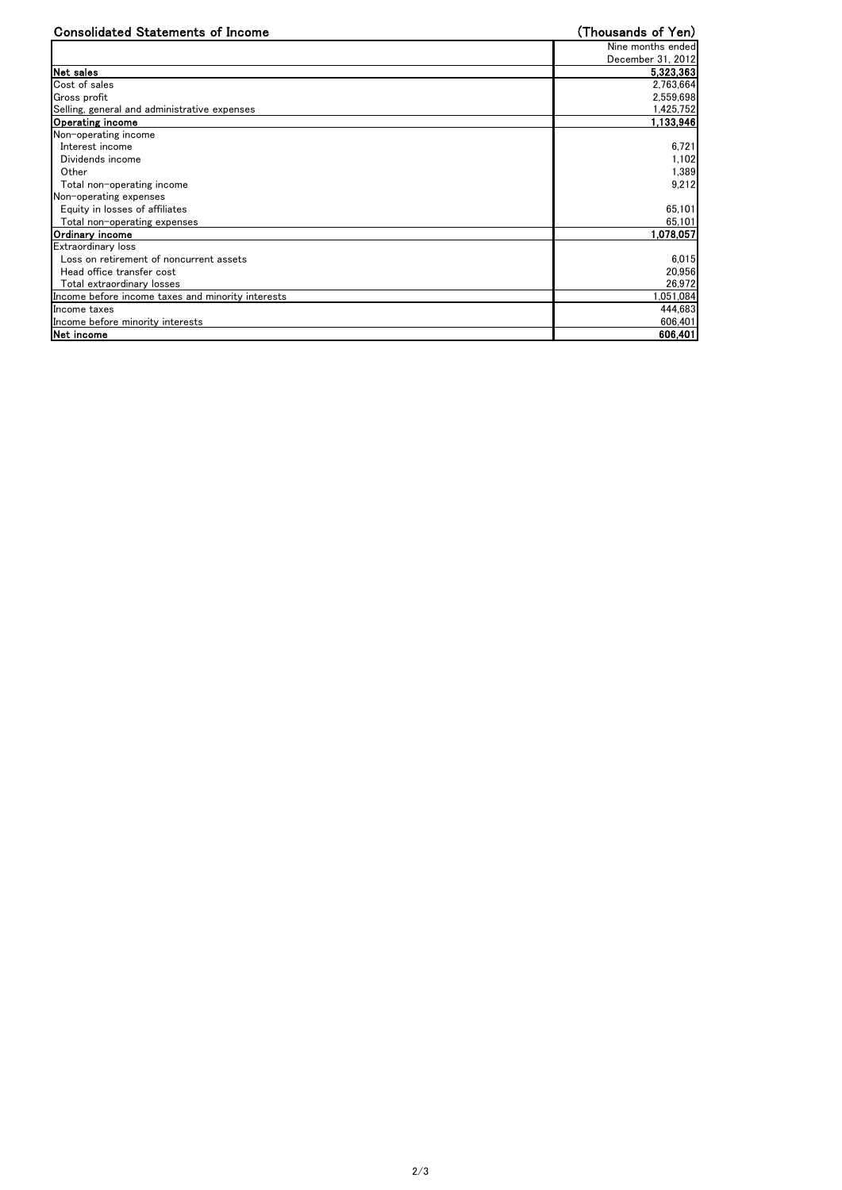| <b>Consolidated Statements of Income</b>          | (Thousands of Yen) |
|---------------------------------------------------|--------------------|
|                                                   | Nine months ended  |
|                                                   | December 31, 2012  |
| Net sales                                         | 5,323,363          |
| Cost of sales                                     | 2,763,664          |
| Gross profit                                      | 2,559,698          |
| Selling, general and administrative expenses      | 1,425,752          |
| <b>Operating income</b>                           | 1,133,946          |
| Non-operating income                              |                    |
| Interest income                                   | 6,721              |
| Dividends income                                  | 1,102              |
| Other                                             | 1,389              |
| Total non-operating income                        | 9,212              |
| Non-operating expenses                            |                    |
| Equity in losses of affiliates                    | 65,101             |
| Total non-operating expenses                      | 65,101             |
| Ordinary income                                   | 1,078,057          |
| Extraordinary loss                                |                    |
| Loss on retirement of noncurrent assets           | 6,015              |
| Head office transfer cost                         | 20,956             |
| Total extraordinary losses                        | 26,972             |
| Income before income taxes and minority interests | 1,051,084          |
| Income taxes                                      | 444,683            |
| Income before minority interests                  | 606,401            |
| Net income                                        | 606,401            |